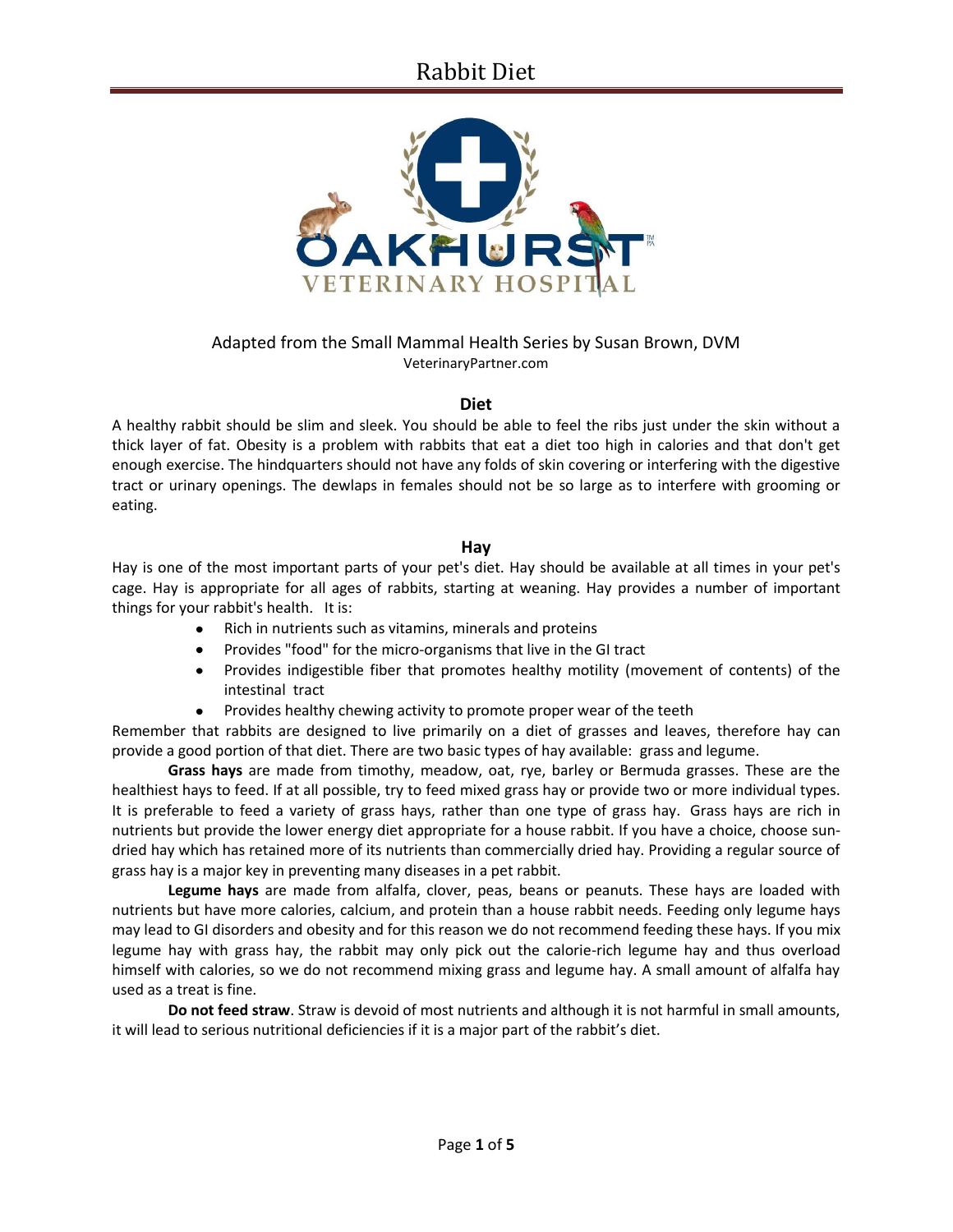

### Adapted from the Small Mammal Health Series by Susan Brown, DVM VeterinaryPartner.com

#### **Diet**

A healthy rabbit should be slim and sleek. You should be able to feel the ribs just under the skin without a thick layer of fat. Obesity is a problem with rabbits that eat a diet too high in calories and that don't get enough exercise. The hindquarters should not have any folds of skin covering or interfering with the digestive tract or urinary openings. The dewlaps in females should not be so large as to interfere with grooming or eating.

#### **Hay**

Hay is one of the most important parts of your pet's diet. Hay should be available at all times in your pet's cage. Hay is appropriate for all ages of rabbits, starting at weaning. Hay provides a number of important things for your rabbit's health. It is:

- Rich in nutrients such as vitamins, minerals and proteins  $\bullet$
- Provides "food" for the micro-organisms that live in the GI tract
- Provides indigestible fiber that promotes healthy motility (movement of contents) of the intestinal tract
- $\bullet$ Provides healthy chewing activity to promote proper wear of the teeth

Remember that rabbits are designed to live primarily on a diet of grasses and leaves, therefore hay can provide a good portion of that diet. There are two basic types of hay available: grass and legume.

**Grass hays** are made from timothy, meadow, oat, rye, barley or Bermuda grasses. These are the healthiest hays to feed. If at all possible, try to feed mixed grass hay or provide two or more individual types. It is preferable to feed a variety of grass hays, rather than one type of grass hay. Grass hays are rich in nutrients but provide the lower energy diet appropriate for a house rabbit. If you have a choice, choose sundried hay which has retained more of its nutrients than commercially dried hay. Providing a regular source of grass hay is a major key in preventing many diseases in a pet rabbit.

**Legume hays** are made from alfalfa, clover, peas, beans or peanuts. These hays are loaded with nutrients but have more calories, calcium, and protein than a house rabbit needs. Feeding only legume hays may lead to GI disorders and obesity and for this reason we do not recommend feeding these hays. If you mix legume hay with grass hay, the rabbit may only pick out the calorie-rich legume hay and thus overload himself with calories, so we do not recommend mixing grass and legume hay. A small amount of alfalfa hay used as a treat is fine.

**Do not feed straw**. Straw is devoid of most nutrients and although it is not harmful in small amounts, it will lead to serious nutritional deficiencies if it is a major part of the rabbit's diet.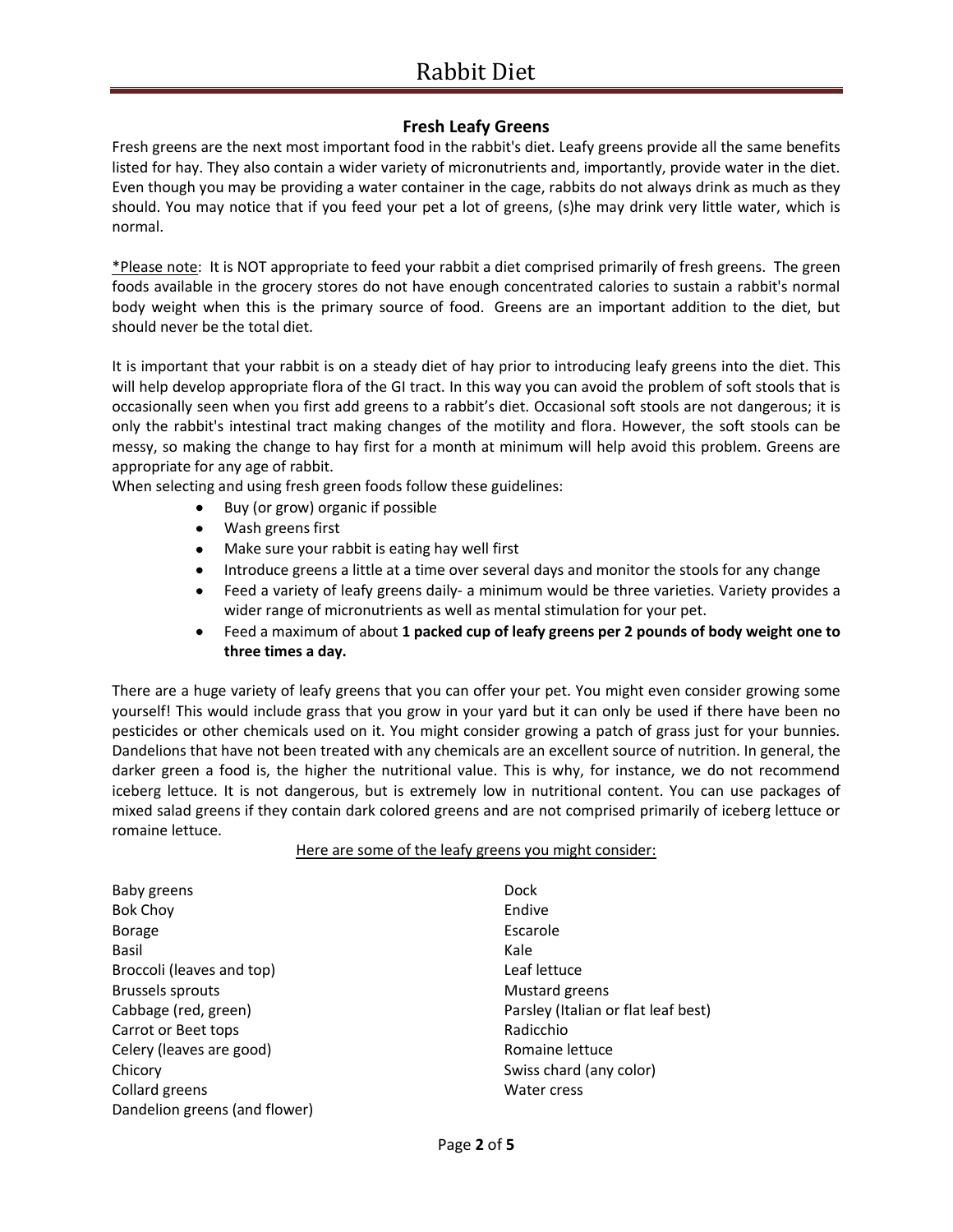## **Fresh Leafy Greens**

Fresh greens are the next most important food in the rabbit's diet. Leafy greens provide all the same benefits listed for hay. They also contain a wider variety of micronutrients and, importantly, provide water in the diet. Even though you may be providing a water container in the cage, rabbits do not always drink as much as they should. You may notice that if you feed your pet a lot of greens, (s)he may drink very little water, which is normal.

\*Please note: It is NOT appropriate to feed your rabbit a diet comprised primarily of fresh greens. The green foods available in the grocery stores do not have enough concentrated calories to sustain a rabbit's normal body weight when this is the primary source of food. Greens are an important addition to the diet, but should never be the total diet.

It is important that your rabbit is on a steady diet of hay prior to introducing leafy greens into the diet. This will help develop appropriate flora of the GI tract. In this way you can avoid the problem of soft stools that is occasionally seen when you first add greens to a rabbit's diet. Occasional soft stools are not dangerous; it is only the rabbit's intestinal tract making changes of the motility and flora. However, the soft stools can be messy, so making the change to hay first for a month at minimum will help avoid this problem. Greens are appropriate for any age of rabbit.

When selecting and using fresh green foods follow these guidelines:

- Buy (or grow) organic if possible
	- Wash greens first
	- Make sure your rabbit is eating hay well first
	- Introduce greens a little at a time over several days and monitor the stools for any change
	- Feed a variety of leafy greens daily- a minimum would be three varieties. Variety provides a  $\bullet$  . wider range of micronutrients as well as mental stimulation for your pet.
	- Feed a maximum of about **1 packed cup of leafy greens per 2 pounds of body weight one to**  $\bullet$ **three times a day.**

There are a huge variety of leafy greens that you can offer your pet. You might even consider growing some yourself! This would include grass that you grow in your yard but it can only be used if there have been no pesticides or other chemicals used on it. You might consider growing a patch of grass just for your bunnies. Dandelions that have not been treated with any chemicals are an excellent source of nutrition. In general, the darker green a food is, the higher the nutritional value. This is why, for instance, we do not recommend iceberg lettuce. It is not dangerous, but is extremely low in nutritional content. You can use packages of mixed salad greens if they contain dark colored greens and are not comprised primarily of iceberg lettuce or romaine lettuce.

#### Here are some of the leafy greens you might consider:

| Baby greens                   |
|-------------------------------|
| <b>Bok Choy</b>               |
| <b>Borage</b>                 |
| Basil                         |
| Broccoli (leaves and top)     |
| Brussels sprouts              |
| Cabbage (red, green)          |
| Carrot or Beet tops           |
| Celery (leaves are good)      |
| Chicory                       |
| Collard greens                |
| Dandelion greens (and flower) |

Dock Endive Escarole Kale Leaf lettuce Mustard greens Parsley (Italian or flat leaf best) Radicchio Romaine lettuce Swiss chard (any color) Water cress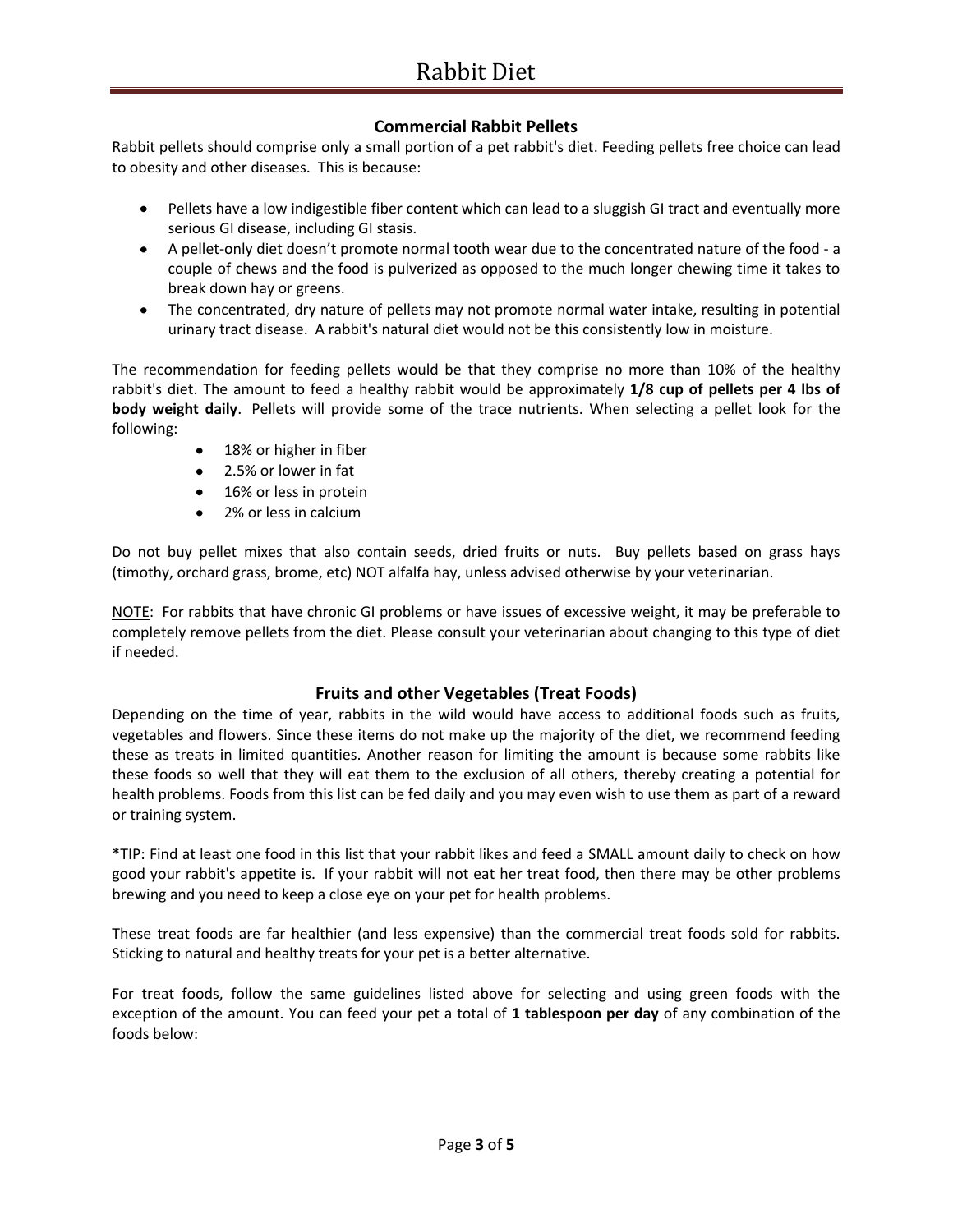### **Commercial Rabbit Pellets**

Rabbit pellets should comprise only a small portion of a pet rabbit's diet. Feeding pellets free choice can lead to obesity and other diseases. This is because:

- Pellets have a low indigestible fiber content which can lead to a sluggish GI tract and eventually more serious GI disease, including GI stasis.
- A pellet-only diet doesn't promote normal tooth wear due to the concentrated nature of the food a couple of chews and the food is pulverized as opposed to the much longer chewing time it takes to break down hay or greens.
- The concentrated, dry nature of pellets may not promote normal water intake, resulting in potential urinary tract disease. A rabbit's natural diet would not be this consistently low in moisture.

The recommendation for feeding pellets would be that they comprise no more than 10% of the healthy rabbit's diet. The amount to feed a healthy rabbit would be approximately **1/8 cup of pellets per 4 lbs of body weight daily**. Pellets will provide some of the trace nutrients. When selecting a pellet look for the following:

- 18% or higher in fiber
- 2.5% or lower in fat
- 16% or less in protein
- 2% or less in calcium

Do not buy pellet mixes that also contain seeds, dried fruits or nuts. Buy pellets based on grass hays (timothy, orchard grass, brome, etc) NOT alfalfa hay, unless advised otherwise by your veterinarian.

NOTE: For rabbits that have chronic GI problems or have issues of excessive weight, it may be preferable to completely remove pellets from the diet. Please consult your veterinarian about changing to this type of diet if needed.

### **Fruits and other Vegetables (Treat Foods)**

Depending on the time of year, rabbits in the wild would have access to additional foods such as fruits, vegetables and flowers. Since these items do not make up the majority of the diet, we recommend feeding these as treats in limited quantities. Another reason for limiting the amount is because some rabbits like these foods so well that they will eat them to the exclusion of all others, thereby creating a potential for health problems. Foods from this list can be fed daily and you may even wish to use them as part of a reward or training system.

\*TIP: Find at least one food in this list that your rabbit likes and feed a SMALL amount daily to check on how good your rabbit's appetite is. If your rabbit will not eat her treat food, then there may be other problems brewing and you need to keep a close eye on your pet for health problems.

These treat foods are far healthier (and less expensive) than the commercial treat foods sold for rabbits. Sticking to natural and healthy treats for your pet is a better alternative.

For treat foods, follow the same guidelines listed above for selecting and using green foods with the exception of the amount. You can feed your pet a total of **1 tablespoon per day** of any combination of the foods below: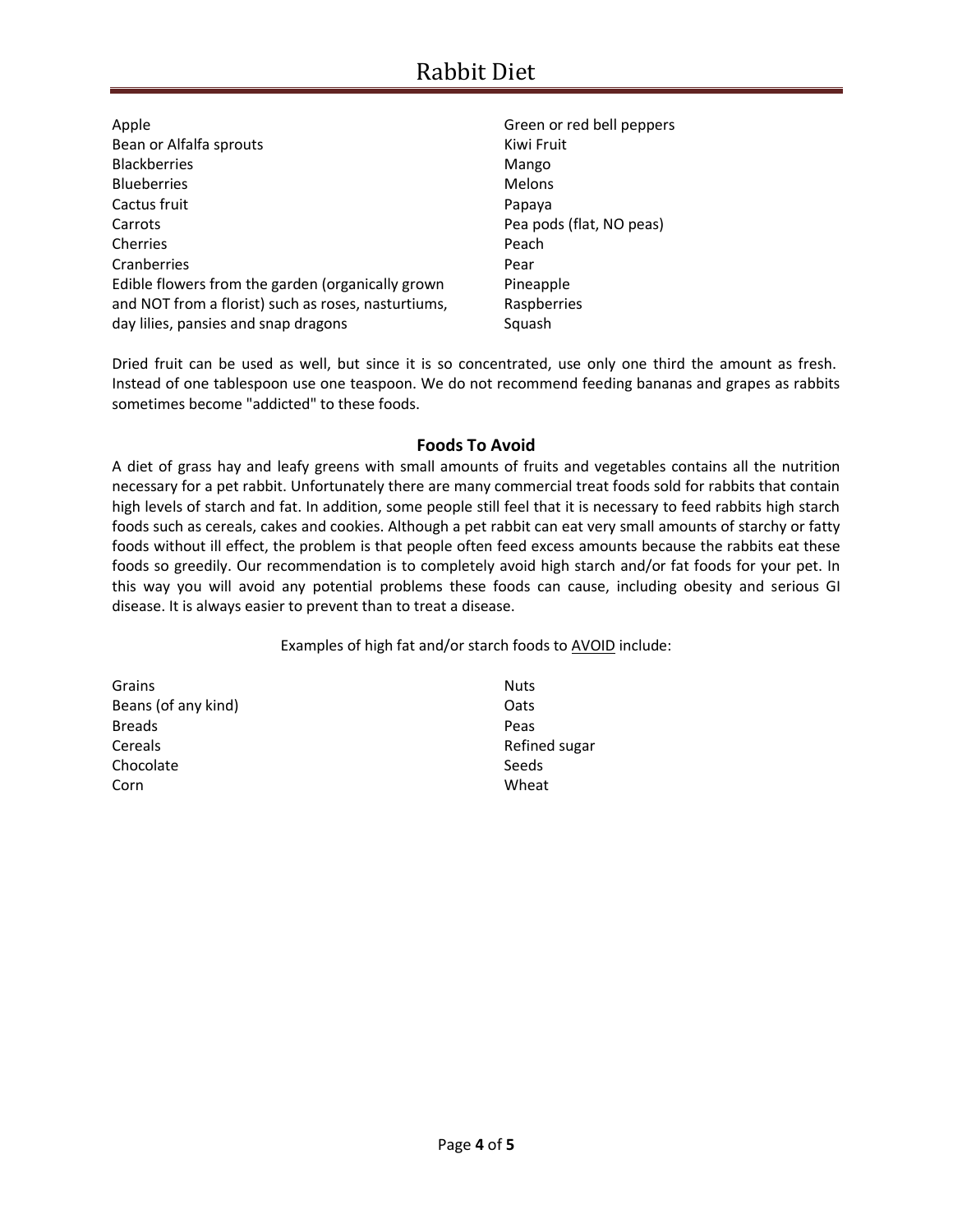| Apple                                               | Green or red bell peppers |
|-----------------------------------------------------|---------------------------|
| Bean or Alfalfa sprouts                             | Kiwi Fruit                |
| <b>Blackberries</b>                                 | Mango                     |
| <b>Blueberries</b>                                  | <b>Melons</b>             |
| Cactus fruit                                        | Papaya                    |
| Carrots                                             | Pea pods (flat, NO peas)  |
| Cherries                                            | Peach                     |
| Cranberries                                         | Pear                      |
| Edible flowers from the garden (organically grown   | Pineapple                 |
| and NOT from a florist) such as roses, nasturtiums, | Raspberries               |
| day lilies, pansies and snap dragons                | Squash                    |

Dried fruit can be used as well, but since it is so concentrated, use only one third the amount as fresh. Instead of one tablespoon use one teaspoon. We do not recommend feeding bananas and grapes as rabbits sometimes become "addicted" to these foods.

### **Foods To Avoid**

A diet of grass hay and leafy greens with small amounts of fruits and vegetables contains all the nutrition necessary for a pet rabbit. Unfortunately there are many commercial treat foods sold for rabbits that contain high levels of starch and fat. In addition, some people still feel that it is necessary to feed rabbits high starch foods such as cereals, cakes and cookies. Although a pet rabbit can eat very small amounts of starchy or fatty foods without ill effect, the problem is that people often feed excess amounts because the rabbits eat these foods so greedily. Our recommendation is to completely avoid high starch and/or fat foods for your pet. In this way you will avoid any potential problems these foods can cause, including obesity and serious GI disease. It is always easier to prevent than to treat a disease.

Examples of high fat and/or starch foods to AVOID include:

| Grains              | <b>Nuts</b>   |
|---------------------|---------------|
| Beans (of any kind) | Oats          |
| <b>Breads</b>       | Peas          |
| Cereals             | Refined sugar |
| Chocolate           | Seeds         |
| Corn                | Wheat         |